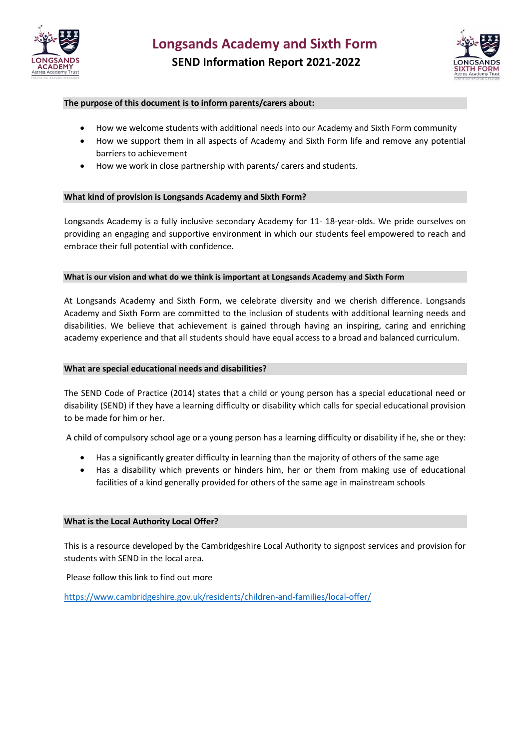



### **The purpose of this document is to inform parents/carers about:**

- How we welcome students with additional needs into our Academy and Sixth Form community
- How we support them in all aspects of Academy and Sixth Form life and remove any potential barriers to achievement
- How we work in close partnership with parents/ carers and students.

### **What kind of provision is Longsands Academy and Sixth Form?**

Longsands Academy is a fully inclusive secondary Academy for 11- 18-year-olds. We pride ourselves on providing an engaging and supportive environment in which our students feel empowered to reach and embrace their full potential with confidence.

### **What is our vision and what do we think is important at Longsands Academy and Sixth Form**

At Longsands Academy and Sixth Form, we celebrate diversity and we cherish difference. Longsands Academy and Sixth Form are committed to the inclusion of students with additional learning needs and disabilities. We believe that achievement is gained through having an inspiring, caring and enriching academy experience and that all students should have equal access to a broad and balanced curriculum.

### **What are special educational needs and disabilities?**

The SEND Code of Practice (2014) states that a child or young person has a special educational need or disability (SEND) if they have a learning difficulty or disability which calls for special educational provision to be made for him or her.

A child of compulsory school age or a young person has a learning difficulty or disability if he, she or they:

- Has a significantly greater difficulty in learning than the majority of others of the same age
- Has a disability which prevents or hinders him, her or them from making use of educational facilities of a kind generally provided for others of the same age in mainstream schools

### **What is the Local Authority Local Offer?**

This is a resource developed by the Cambridgeshire Local Authority to signpost services and provision for students with SEND in the local area.

Please follow this link to find out more

<https://www.cambridgeshire.gov.uk/residents/children-and-families/local-offer/>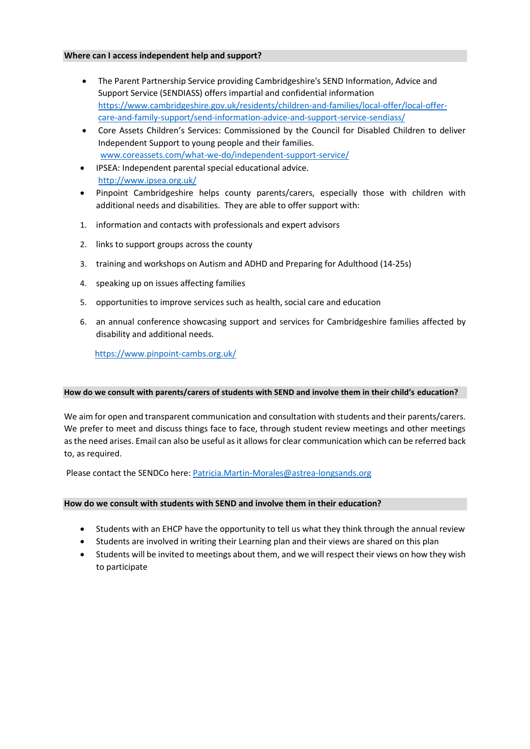#### **Where can I access independent help and support?**

- The Parent Partnership Service providing Cambridgeshire's SEND Information, Advice and Support Service (SENDIASS) offers impartial and confidential information [https://www.cambridgeshire.gov.uk/residents/children-and-families/local-offer/local-offer](https://www.cambridgeshire.gov.uk/residents/children-and-families/local-offer/local-offer-care-and-family-support/send-information-advice-and-support-service-sendiass/)[care-and-family-support/send-information-advice-and-support-service-sendiass/](https://www.cambridgeshire.gov.uk/residents/children-and-families/local-offer/local-offer-care-and-family-support/send-information-advice-and-support-service-sendiass/)
- Core Assets Children's Services: Commissioned by the Council for Disabled Children to deliver Independent Support to young people and their families. [www.coreassets.com/what-we-do/independent-support-service/](http://www.coreassets.com/what-we-do/independent-support-service/)
- IPSEA: Independent parental special educational advice. <http://www.ipsea.org.uk/>
- Pinpoint Cambridgeshire helps county parents/carers, especially those with children with additional needs and disabilities. They are able to offer support with:
- 1. [information](https://www.pinpoint-cambs.org.uk/useful-information/) and contacts with professionals and expert advisors
- 2. links to [support groups](https://www.pinpoint-cambs.org.uk/support-groups/) across the county
- 3. training and workshops on Autism and ADHD and Preparing for Adulthood (14-25s)
- 4. speaking up on issues affecting families
- 5. opportunities to [improve services](https://www.pinpoint-cambs.org.uk/improving-services/) such as health, social care and education
- 6. an annual conference showcasing support and services for Cambridgeshire families affected by disability and additional needs.

<https://www.pinpoint-cambs.org.uk/>

### **How do we consult with parents/carers of students with SEND and involve them in their child's education?**

We aim for open and transparent communication and consultation with students and their parents/carers. We prefer to meet and discuss things face to face, through student review meetings and other meetings as the need arises. Email can also be useful as it allows for clear communication which can be referred back to, as required.

Please contact the SENDCo here[: Patricia.Martin-Morales@astrea-longsands.org](mailto:Patricia.Martin-Morales@astrea-longsands.org)

# **How do we consult with students with SEND and involve them in their education?**

- Students with an EHCP have the opportunity to tell us what they think through the annual review
- Students are involved in writing their Learning plan and their views are shared on this plan
- Students will be invited to meetings about them, and we will respect their views on how they wish to participate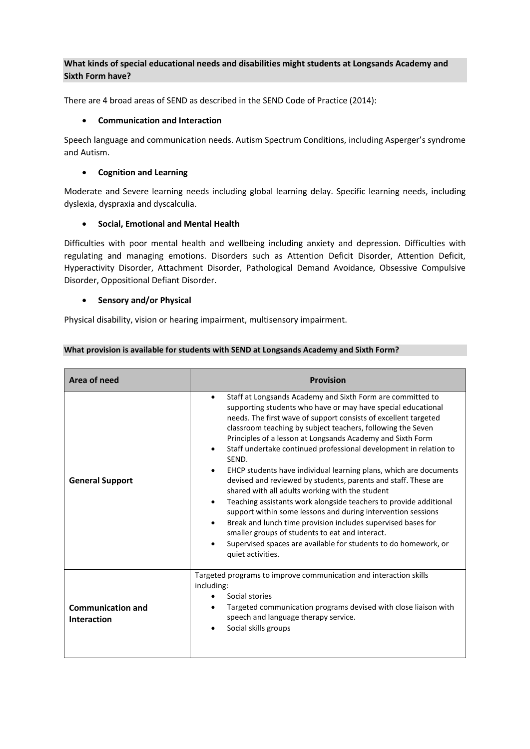# **What kinds of special educational needs and disabilities might students at Longsands Academy and Sixth Form have?**

There are 4 broad areas of SEND as described in the SEND Code of Practice (2014):

### • **Communication and Interaction**

Speech language and communication needs. Autism Spectrum Conditions, including Asperger's syndrome and Autism.

### • **Cognition and Learning**

Moderate and Severe learning needs including global learning delay. Specific learning needs, including dyslexia, dyspraxia and dyscalculia.

# • **Social, Emotional and Mental Health**

Difficulties with poor mental health and wellbeing including anxiety and depression. Difficulties with regulating and managing emotions. Disorders such as Attention Deficit Disorder, Attention Deficit, Hyperactivity Disorder, Attachment Disorder, Pathological Demand Avoidance, Obsessive Compulsive Disorder, Oppositional Defiant Disorder.

### • **Sensory and/or Physical**

Physical disability, vision or hearing impairment, multisensory impairment.

| What provision is available for students with SEND at Longsands Academy and Sixth Form? |  |
|-----------------------------------------------------------------------------------------|--|
|-----------------------------------------------------------------------------------------|--|

| Area of need                            | <b>Provision</b>                                                                                                                                                                                                                                                                                                                                                                                                                                                                                                                                                                                                                                                                                                                                                                                                                                                                                                                                                  |
|-----------------------------------------|-------------------------------------------------------------------------------------------------------------------------------------------------------------------------------------------------------------------------------------------------------------------------------------------------------------------------------------------------------------------------------------------------------------------------------------------------------------------------------------------------------------------------------------------------------------------------------------------------------------------------------------------------------------------------------------------------------------------------------------------------------------------------------------------------------------------------------------------------------------------------------------------------------------------------------------------------------------------|
| <b>General Support</b>                  | Staff at Longsands Academy and Sixth Form are committed to<br>٠<br>supporting students who have or may have special educational<br>needs. The first wave of support consists of excellent targeted<br>classroom teaching by subject teachers, following the Seven<br>Principles of a lesson at Longsands Academy and Sixth Form<br>Staff undertake continued professional development in relation to<br>SEND.<br>EHCP students have individual learning plans, which are documents<br>devised and reviewed by students, parents and staff. These are<br>shared with all adults working with the student<br>Teaching assistants work alongside teachers to provide additional<br>٠<br>support within some lessons and during intervention sessions<br>Break and lunch time provision includes supervised bases for<br>٠<br>smaller groups of students to eat and interact.<br>Supervised spaces are available for students to do homework, or<br>quiet activities. |
| <b>Communication and</b><br>Interaction | Targeted programs to improve communication and interaction skills<br>including:<br>Social stories<br>Targeted communication programs devised with close liaison with<br>speech and language therapy service.<br>Social skills groups                                                                                                                                                                                                                                                                                                                                                                                                                                                                                                                                                                                                                                                                                                                              |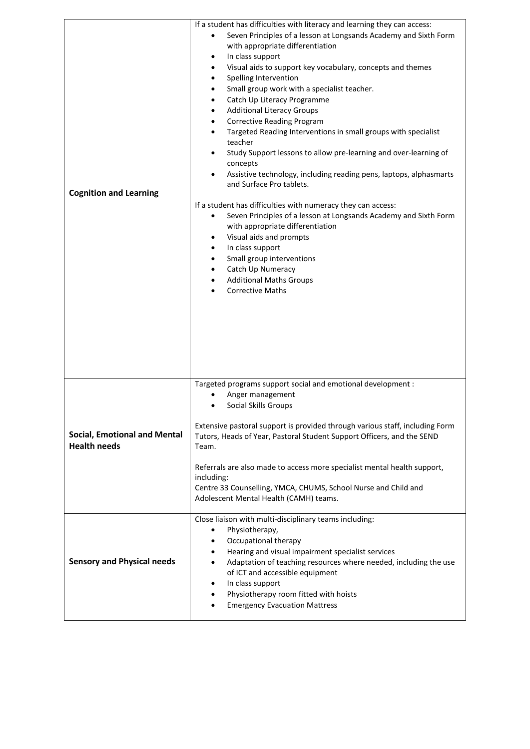| <b>Cognition and Learning</b>                              | If a student has difficulties with literacy and learning they can access:<br>Seven Principles of a lesson at Longsands Academy and Sixth Form<br>with appropriate differentiation<br>In class support<br>$\bullet$<br>Visual aids to support key vocabulary, concepts and themes<br>$\bullet$<br>Spelling Intervention<br>$\bullet$<br>Small group work with a specialist teacher.<br>$\bullet$<br>Catch Up Literacy Programme<br>$\bullet$<br><b>Additional Literacy Groups</b><br>$\bullet$<br><b>Corrective Reading Program</b><br>$\bullet$<br>Targeted Reading Interventions in small groups with specialist<br>teacher<br>Study Support lessons to allow pre-learning and over-learning of<br>٠<br>concepts<br>Assistive technology, including reading pens, laptops, alphasmarts<br>$\bullet$<br>and Surface Pro tablets.<br>If a student has difficulties with numeracy they can access:<br>Seven Principles of a lesson at Longsands Academy and Sixth Form<br>with appropriate differentiation<br>Visual aids and prompts<br>٠<br>In class support<br>Small group interventions<br>Catch Up Numeracy<br><b>Additional Maths Groups</b><br><b>Corrective Maths</b> |
|------------------------------------------------------------|-----------------------------------------------------------------------------------------------------------------------------------------------------------------------------------------------------------------------------------------------------------------------------------------------------------------------------------------------------------------------------------------------------------------------------------------------------------------------------------------------------------------------------------------------------------------------------------------------------------------------------------------------------------------------------------------------------------------------------------------------------------------------------------------------------------------------------------------------------------------------------------------------------------------------------------------------------------------------------------------------------------------------------------------------------------------------------------------------------------------------------------------------------------------------------|
| <b>Social, Emotional and Mental</b><br><b>Health needs</b> | Targeted programs support social and emotional development :<br>Anger management<br>Social Skills Groups<br>Extensive pastoral support is provided through various staff, including Form<br>Tutors, Heads of Year, Pastoral Student Support Officers, and the SEND<br>Team.<br>Referrals are also made to access more specialist mental health support,<br>including:<br>Centre 33 Counselling, YMCA, CHUMS, School Nurse and Child and<br>Adolescent Mental Health (CAMH) teams.                                                                                                                                                                                                                                                                                                                                                                                                                                                                                                                                                                                                                                                                                           |
| <b>Sensory and Physical needs</b>                          | Close liaison with multi-disciplinary teams including:<br>Physiotherapy,<br>٠<br>Occupational therapy<br>٠<br>Hearing and visual impairment specialist services<br>٠<br>Adaptation of teaching resources where needed, including the use<br>of ICT and accessible equipment<br>In class support<br>٠<br>Physiotherapy room fitted with hoists<br><b>Emergency Evacuation Mattress</b>                                                                                                                                                                                                                                                                                                                                                                                                                                                                                                                                                                                                                                                                                                                                                                                       |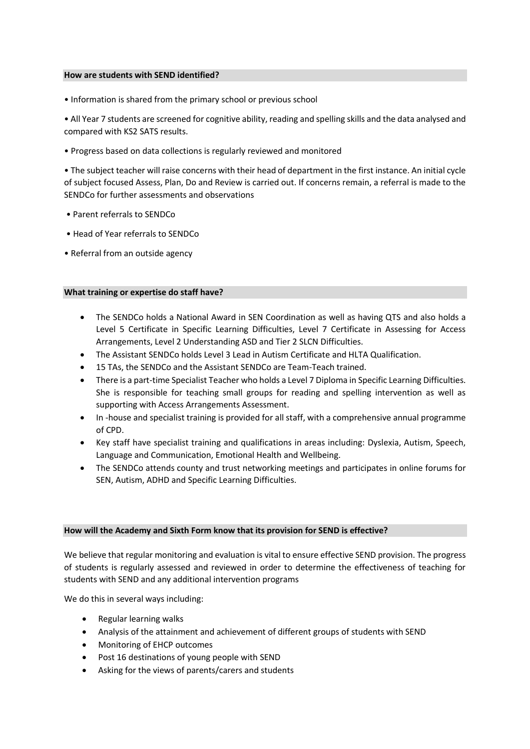### **How are students with SEND identified?**

• Information is shared from the primary school or previous school

• All Year 7 students are screened for cognitive ability, reading and spelling skills and the data analysed and compared with KS2 SATS results.

• Progress based on data collections is regularly reviewed and monitored

• The subject teacher will raise concerns with their head of department in the first instance. An initial cycle of subject focused Assess, Plan, Do and Review is carried out. If concerns remain, a referral is made to the SENDCo for further assessments and observations

- Parent referrals to SENDCo
- Head of Year referrals to SENDCo
- Referral from an outside agency

### **What training or expertise do staff have?**

- The SENDCo holds a National Award in SEN Coordination as well as having QTS and also holds a Level 5 Certificate in Specific Learning Difficulties, Level 7 Certificate in Assessing for Access Arrangements, Level 2 Understanding ASD and Tier 2 SLCN Difficulties.
- The Assistant SENDCo holds Level 3 Lead in Autism Certificate and HLTA Qualification.
- 15 TAs, the SENDCo and the Assistant SENDCo are Team-Teach trained.
- There is a part-time Specialist Teacher who holds a Level 7 Diploma in Specific Learning Difficulties. She is responsible for teaching small groups for reading and spelling intervention as well as supporting with Access Arrangements Assessment.
- In -house and specialist training is provided for all staff, with a comprehensive annual programme of CPD.
- Key staff have specialist training and qualifications in areas including: Dyslexia, Autism, Speech, Language and Communication, Emotional Health and Wellbeing.
- The SENDCo attends county and trust networking meetings and participates in online forums for SEN, Autism, ADHD and Specific Learning Difficulties.

### **How will the Academy and Sixth Form know that its provision for SEND is effective?**

We believe that regular monitoring and evaluation is vital to ensure effective SEND provision. The progress of students is regularly assessed and reviewed in order to determine the effectiveness of teaching for students with SEND and any additional intervention programs

We do this in several ways including:

- Regular learning walks
- Analysis of the attainment and achievement of different groups of students with SEND
- Monitoring of EHCP outcomes
- Post 16 destinations of young people with SEND
- Asking for the views of parents/carers and students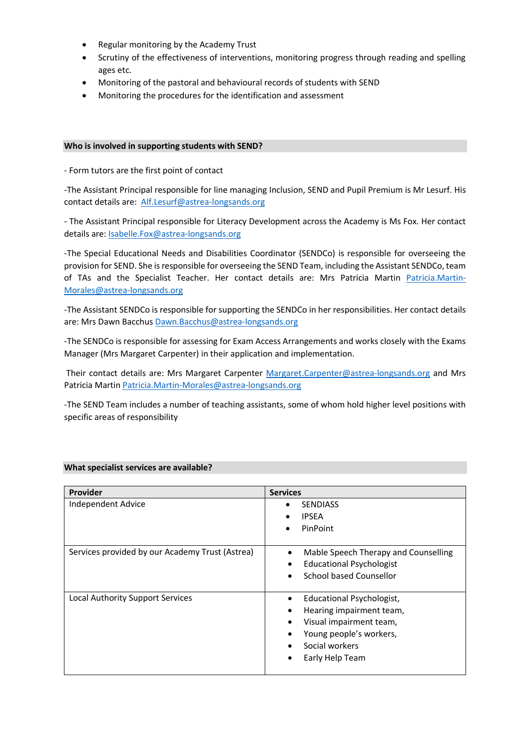- Regular monitoring by the Academy Trust
- Scrutiny of the effectiveness of interventions, monitoring progress through reading and spelling ages etc.
- Monitoring of the pastoral and behavioural records of students with SEND
- Monitoring the procedures for the identification and assessment

#### **Who is involved in supporting students with SEND?**

- Form tutors are the first point of contact

-The Assistant Principal responsible for line managing Inclusion, SEND and Pupil Premium is Mr Lesurf. His contact details are: [Alf.Lesurf@astrea-longsands.org](mailto:Alf.Lesurf@astrea-longsands.org)

- The Assistant Principal responsible for Literacy Development across the Academy is Ms Fox. Her contact details are[: Isabelle.Fox@astrea-longsands.org](mailto:Isabelle.Fox@astrea-longsands.org)

-The Special Educational Needs and Disabilities Coordinator (SENDCo) is responsible for overseeing the provision for SEND. She is responsible for overseeing the SEND Team, including the Assistant SENDCo, team of TAs and the Specialist Teacher. Her contact details are: Mrs Patricia Martin [Patricia.Martin-](mailto:Patricia.Martin-Morales@astrea-longsands.org)[Morales@astrea-longsands.org](mailto:Patricia.Martin-Morales@astrea-longsands.org)

-The Assistant SENDCo is responsible for supporting the SENDCo in her responsibilities. Her contact details are: Mrs Dawn Bacchu[s Dawn.Bacchus@astrea-longsands.org](mailto:Dawn.Bacchus@astrea-longsands.org)

-The SENDCo is responsible for assessing for Exam Access Arrangements and works closely with the Exams Manager (Mrs Margaret Carpenter) in their application and implementation.

Their contact details are: Mrs Margaret Carpenter [Margaret.Carpenter@astrea-longsands.org](mailto:Margaret.Carpenter@astrea-longsands.org) and Mrs Patricia Martin [Patricia.Martin-Morales@astrea-longsands.org](mailto:Patricia.Martin-Morales@astrea-longsands.org)

-The SEND Team includes a number of teaching assistants, some of whom hold higher level positions with specific areas of responsibility

| <b>Provider</b>                                 | <b>Services</b>                                                                                                                                               |
|-------------------------------------------------|---------------------------------------------------------------------------------------------------------------------------------------------------------------|
| Independent Advice                              | <b>SENDIASS</b><br><b>IPSEA</b><br>PinPoint<br>$\bullet$                                                                                                      |
| Services provided by our Academy Trust (Astrea) | Mable Speech Therapy and Counselling<br>$\bullet$<br><b>Educational Psychologist</b><br>School based Counsellor                                               |
| Local Authority Support Services                | Educational Psychologist,<br>$\bullet$<br>Hearing impairment team,<br>Visual impairment team,<br>Young people's workers,<br>Social workers<br>Early Help Team |

### **What specialist services are available?**